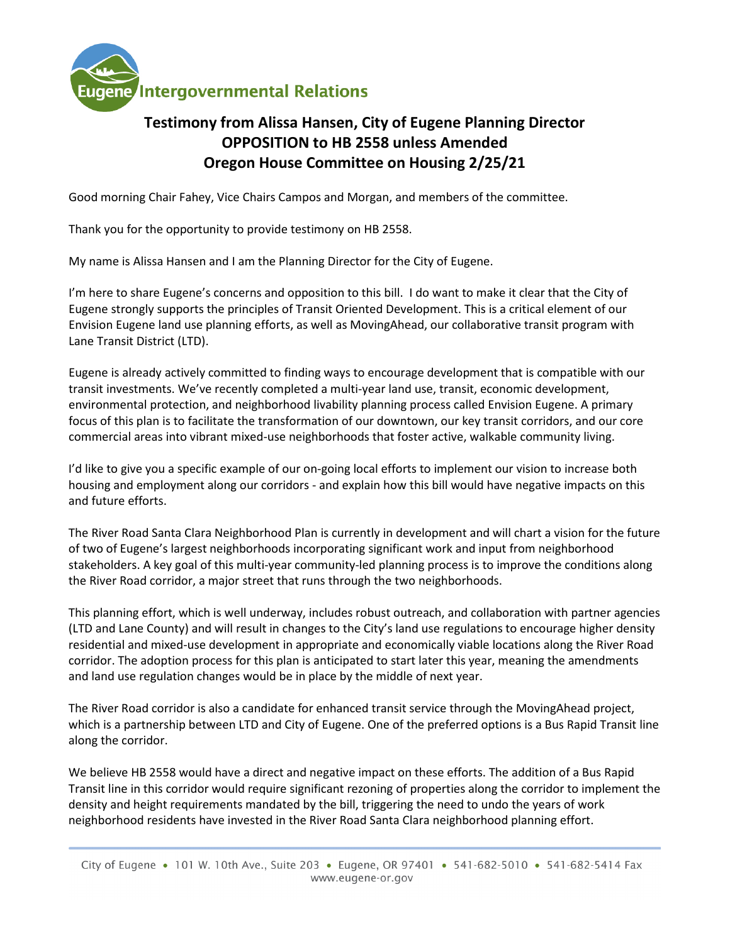

## **Testimony from Alissa Hansen, City of Eugene Planning Director OPPOSITION to HB 2558 unless Amended Oregon House Committee on Housing 2/25/21**

Good morning Chair Fahey, Vice Chairs Campos and Morgan, and members of the committee.

Thank you for the opportunity to provide testimony on HB 2558.

My name is Alissa Hansen and I am the Planning Director for the City of Eugene.

I'm here to share Eugene's concerns and opposition to this bill. I do want to make it clear that the City of Eugene strongly supports the principles of Transit Oriented Development. This is a critical element of our Envision Eugene land use planning efforts, as well as MovingAhead, our collaborative transit program with Lane Transit District (LTD).

Eugene is already actively committed to finding ways to encourage development that is compatible with our transit investments. We've recently completed a multi-year land use, transit, economic development, environmental protection, and neighborhood livability planning process called Envision Eugene. A primary focus of this plan is to facilitate the transformation of our downtown, our key transit corridors, and our core commercial areas into vibrant mixed-use neighborhoods that foster active, walkable community living.

I'd like to give you a specific example of our on-going local efforts to implement our vision to increase both housing and employment along our corridors - and explain how this bill would have negative impacts on this and future efforts.

The River Road Santa Clara Neighborhood Plan is currently in development and will chart a vision for the future of two of Eugene's largest neighborhoods incorporating significant work and input from neighborhood stakeholders. A key goal of this multi-year community-led planning process is to improve the conditions along the River Road corridor, a major street that runs through the two neighborhoods.

This planning effort, which is well underway, includes robust outreach, and collaboration with partner agencies (LTD and Lane County) and will result in changes to the City's land use regulations to encourage higher density residential and mixed-use development in appropriate and economically viable locations along the River Road corridor. The adoption process for this plan is anticipated to start later this year, meaning the amendments and land use regulation changes would be in place by the middle of next year.

The River Road corridor is also a candidate for enhanced transit service through the MovingAhead project, which is a partnership between LTD and City of Eugene. One of the preferred options is a Bus Rapid Transit line along the corridor.

We believe HB 2558 would have a direct and negative impact on these efforts. The addition of a Bus Rapid Transit line in this corridor would require significant rezoning of properties along the corridor to implement the density and height requirements mandated by the bill, triggering the need to undo the years of work neighborhood residents have invested in the River Road Santa Clara neighborhood planning effort.